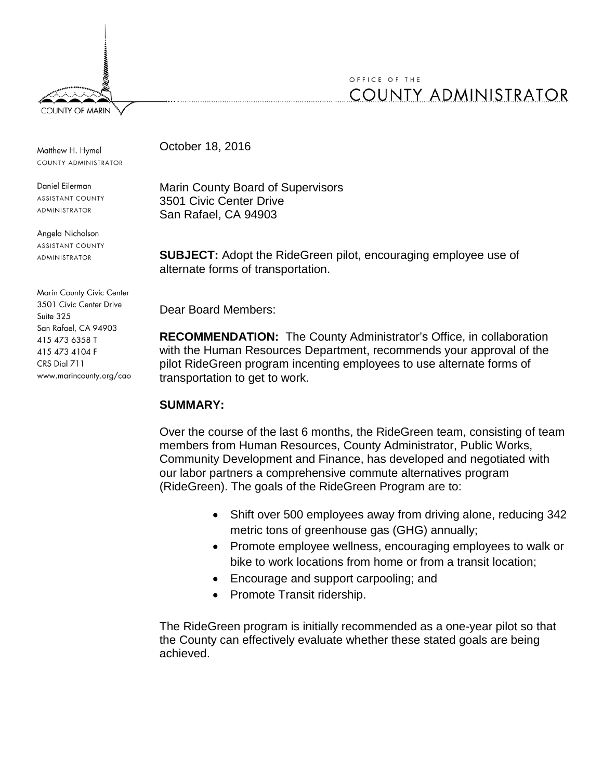

# OFFICE OF THE **COUNTY ADMINISTRATOR**

Matthew H. Hymel COUNTY ADMINISTRATOR

Daniel Eilerman **ASSISTANT COUNTY** ADMINISTRATOR

Angela Nicholson **ASSISTANT COUNTY ADMINISTRATOR** 

Marin County Civic Center 3501 Civic Center Drive Suite 325 San Rafael, CA 94903 415 473 6358 T 415 473 4104 F CRS Dial 711 www.marincounty.org/cao October 18, 2016

Marin County Board of Supervisors 3501 Civic Center Drive San Rafael, CA 94903

**SUBJECT:** Adopt the RideGreen pilot, encouraging employee use of alternate forms of transportation.

Dear Board Members:

**RECOMMENDATION:** The County Administrator's Office, in collaboration with the Human Resources Department, recommends your approval of the pilot RideGreen program incenting employees to use alternate forms of transportation to get to work.

## **SUMMARY:**

Over the course of the last 6 months, the RideGreen team, consisting of team members from Human Resources, County Administrator, Public Works, Community Development and Finance, has developed and negotiated with our labor partners a comprehensive commute alternatives program (RideGreen). The goals of the RideGreen Program are to:

- Shift over 500 employees away from driving alone, reducing 342 metric tons of greenhouse gas (GHG) annually;
- Promote employee wellness, encouraging employees to walk or bike to work locations from home or from a transit location;
- Encourage and support carpooling; and
- Promote Transit ridership.

The RideGreen program is initially recommended as a one-year pilot so that the County can effectively evaluate whether these stated goals are being achieved.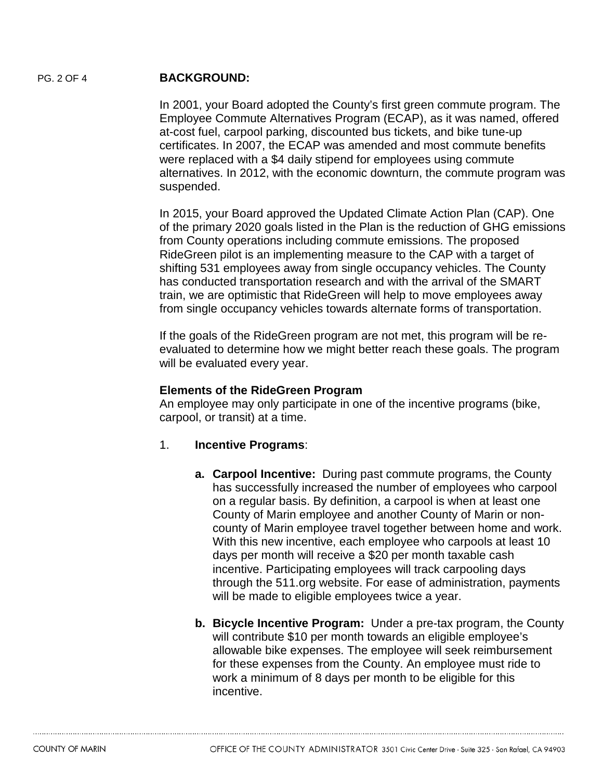### PG. 2 OF 4 **BACKGROUND:**

In 2001, your Board adopted the County's first green commute program. The Employee Commute Alternatives Program (ECAP), as it was named, offered at-cost fuel, carpool parking, discounted bus tickets, and bike tune-up certificates. In 2007, the ECAP was amended and most commute benefits were replaced with a \$4 daily stipend for employees using commute alternatives. In 2012, with the economic downturn, the commute program was suspended.

In 2015, your Board approved the Updated Climate Action Plan (CAP). One of the primary 2020 goals listed in the Plan is the reduction of GHG emissions from County operations including commute emissions. The proposed RideGreen pilot is an implementing measure to the CAP with a target of shifting 531 employees away from single occupancy vehicles. The County has conducted transportation research and with the arrival of the SMART train, we are optimistic that RideGreen will help to move employees away from single occupancy vehicles towards alternate forms of transportation.

If the goals of the RideGreen program are not met, this program will be reevaluated to determine how we might better reach these goals. The program will be evaluated every year.

#### **Elements of the RideGreen Program**

An employee may only participate in one of the incentive programs (bike, carpool, or transit) at a time.

- 1. **Incentive Programs**:
	- **a. Carpool Incentive:** During past commute programs, the County has successfully increased the number of employees who carpool on a regular basis. By definition, a carpool is when at least one County of Marin employee and another County of Marin or noncounty of Marin employee travel together between home and work. With this new incentive, each employee who carpools at least 10 days per month will receive a \$20 per month taxable cash incentive. Participating employees will track carpooling days through the 511.org website. For ease of administration, payments will be made to eligible employees twice a year.
	- **b. Bicycle Incentive Program:** Under a pre-tax program, the County will contribute \$10 per month towards an eligible employee's allowable bike expenses. The employee will seek reimbursement for these expenses from the County. An employee must ride to work a minimum of 8 days per month to be eligible for this incentive.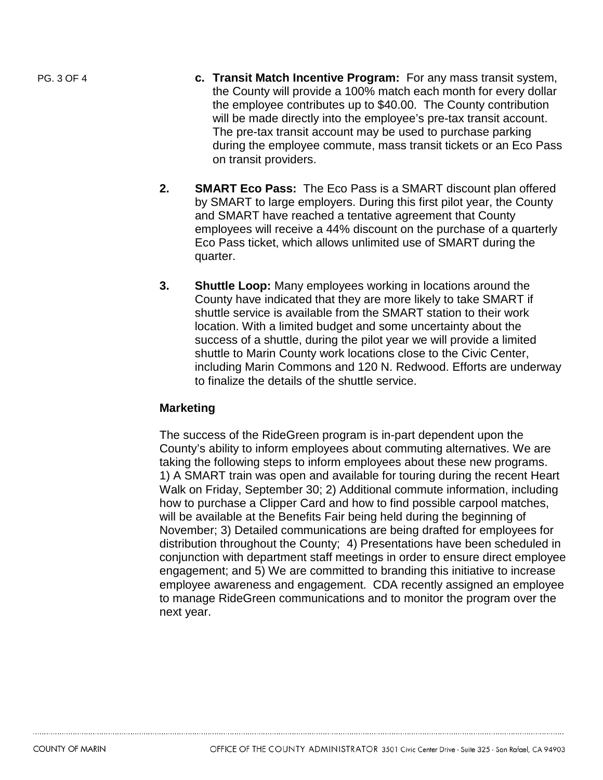- PG. 3 OF 4 **c. Transit Match Incentive Program:** For any mass transit system, the County will provide a 100% match each month for every dollar the employee contributes up to \$40.00. The County contribution will be made directly into the employee's pre-tax transit account. The pre-tax transit account may be used to purchase parking during the employee commute, mass transit tickets or an Eco Pass on transit providers.
	- **2. SMART Eco Pass:** The Eco Pass is a SMART discount plan offered by SMART to large employers. During this first pilot year, the County and SMART have reached a tentative agreement that County employees will receive a 44% discount on the purchase of a quarterly Eco Pass ticket, which allows unlimited use of SMART during the quarter.
	- **3. Shuttle Loop:** Many employees working in locations around the County have indicated that they are more likely to take SMART if shuttle service is available from the SMART station to their work location. With a limited budget and some uncertainty about the success of a shuttle, during the pilot year we will provide a limited shuttle to Marin County work locations close to the Civic Center, including Marin Commons and 120 N. Redwood. Efforts are underway to finalize the details of the shuttle service.

#### **Marketing**

The success of the RideGreen program is in-part dependent upon the County's ability to inform employees about commuting alternatives. We are taking the following steps to inform employees about these new programs. 1) A SMART train was open and available for touring during the recent Heart Walk on Friday, September 30; 2) Additional commute information, including how to purchase a Clipper Card and how to find possible carpool matches, will be available at the Benefits Fair being held during the beginning of November; 3) Detailed communications are being drafted for employees for distribution throughout the County; 4) Presentations have been scheduled in conjunction with department staff meetings in order to ensure direct employee engagement; and 5) We are committed to branding this initiative to increase employee awareness and engagement. CDA recently assigned an employee to manage RideGreen communications and to monitor the program over the next year.